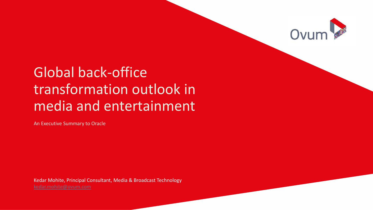

# Global back-office transformation outlook in media and entertainment

An Executive Summary to Oracle

Kedar Mohite, Principal Consultant, Media & Broadcast Technology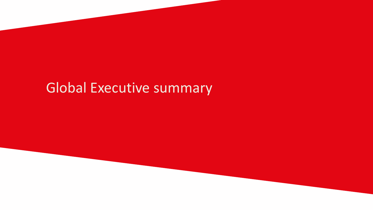# Global Executive summary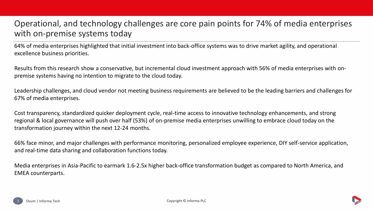# Operational, and technology challenges are core pain points for 74% of media enterprises with on-premise systems today

64% of media enterprises highlighted that initial investment into back-office systems was to drive market agility, and operational excellence business priorities.

Results from this research show a conservative, but incremental cloud investment approach with 56% of media enterprises with onpremise systems having no intention to migrate to the cloud today.

Leadership challenges, and cloud vendor not meeting business requirements are believed to be the leading barriers and challenges for 67% of media enterprises.

Cost transparency, standardized quicker deployment cycle, real-time access to innovative technology enhancements, and strong regional & local governance will push over half (53%) of on-premise media enterprises unwilling to embrace cloud today on the transformation journey within the next 12-24 months.

66% face minor, and major challenges with performance monitoring, personalized employee experience, DIY self-service application, and real-time data sharing and collaboration functions today.

Media enterprises in Asia-Pacific to earmark 1.6-2.5x higher back-office transformation budget as compared to North America, and EMEA counterparts.



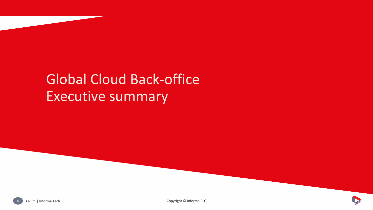# Global Cloud Back-office Executive summary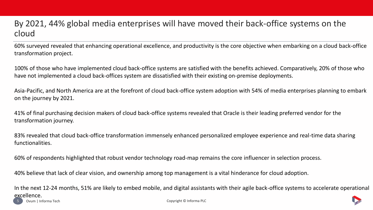### By 2021, 44% global media enterprises will have moved their back-office systems on the cloud

60% surveyed revealed that enhancing operational excellence, and productivity is the core objective when embarking on a cloud back-office transformation project.

100% of those who have implemented cloud back-office systems are satisfied with the benefits achieved. Comparatively, 20% of those who have not implemented a cloud back-offices system are dissatisfied with their existing on-premise deployments.

Asia-Pacific, and North America are at the forefront of cloud back-office system adoption with 54% of media enterprises planning to embark on the journey by 2021.

41% of final purchasing decision makers of cloud back-office systems revealed that Oracle is their leading preferred vendor for the transformation journey.

83% revealed that cloud back-office transformation immensely enhanced personalized employee experience and real-time data sharing functionalities.

60% of respondents highlighted that robust vendor technology road-map remains the core influencer in selection process.

40% believe that lack of clear vision, and ownership among top management is a vital hinderance for cloud adoption.

5 Ovum | Informa Tech Copyright © Informa PLC In the next 12-24 months, 51% are likely to embed mobile, and digital assistants with their agile back-office systems to accelerate operational excellence.

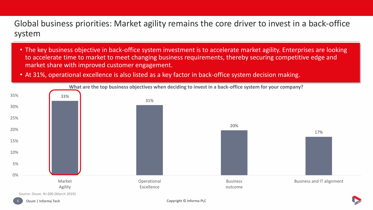Global business priorities: Market agility remains the core driver to invest in a back-office system

- The key business objective in back-office system investment is to accelerate market agility. Enterprises are looking to accelerate time to market to meet changing business requirements, thereby securing competitive edge and market share with improved customer engagement.
- At 31%, operational excellence is also listed as a key factor in back-office system decision making.



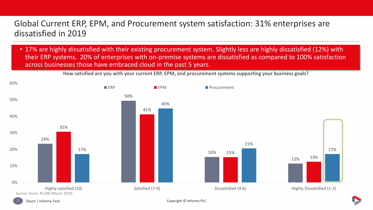## Global Current ERP, EPM, and Procurement system satisfaction: 31% enterprises are dissatisfied in 2019

• 17% are highly dissatisfied with their existing procurement system. Slightly less are highly dissatisfied (12%) with their ERP systems. 20% of enterprises with on-premise systems are dissatisfied as compared to 100% satisfaction across businesses those have embraced cloud in the past 5 years.





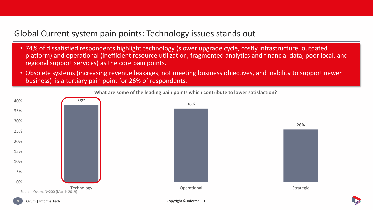#### Global Current system pain points: Technology issues stands out

- 74% of dissatisfied respondents highlight technology (slower upgrade cycle, costly infrastructure, outdated platform) and operational (inefficient resource utilization, fragmented analytics and financial data, poor local, and regional support services) as the core pain points.
- Obsolete systems (increasing revenue leakages, not meeting business objectives, and inability to support newer business) is a tertiary pain point for 26% of respondents.



**What are some of the leading pain points which contribute to lower satisfaction?**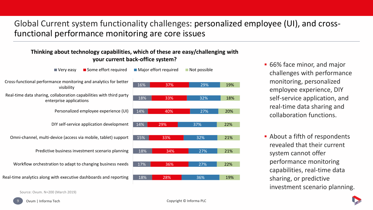# Global Current system functionality challenges: personalized employee (UI), and crossfunctional performance monitoring are core issues

#### **Thinking about technology capabilities, which of these are easy/challenging with your current back-office system?**

- 17% 18% 15% 14% 14% 18% 16% 36% 34% 33% 29% 40% 33% 37% Real-time analytics along with executive dashboards and reporting Workflow orchestration to adapt to changing business needs Predictive business investment scenario planning Omni-channel, multi-device (access via mobile, tablet) support DIY self-service application development Personalized employee experience (UI) Real-time data sharing, collaboration capabilities with third party enterprise applications Cross-functional performance monitoring and analytics for better visibility  $\blacksquare$  Very easy  $\blacksquare$  Some effort required  $\blacksquare$  Major effort required  $\blacksquare$  Not possible
	- 18% 28% 36% 27% 27% 32% 37% 27% 32% 29% 19% 22% 21% 21% 22% 20% 18% 19%
- 66% face minor, and major challenges with performance monitoring, personalized employee experience, DIY self-service application, and real-time data sharing and collaboration functions.
- About a fifth of respondents revealed that their current system cannot offer performance monitoring capabilities, real-time data sharing, or predictive investment scenario planning.



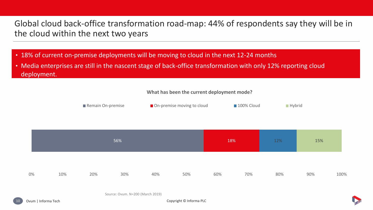# Global cloud back-office transformation road-map: 44% of respondents say they will be in the cloud within the next two years

- 18% of current on-premise deployments will be moving to cloud in the next 12-24 months
- Media enterprises are still in the nascent stage of back-office transformation with only 12% reporting cloud deployment.

#### **What has been the current deployment mode?**



|    |     |     | 56% |     |     | 18% |     | 12% | 15% |      |  |
|----|-----|-----|-----|-----|-----|-----|-----|-----|-----|------|--|
| 0% | 10% | 20% | 30% | 40% | 50% | 60% | 70% | 80% | 90% | 100% |  |

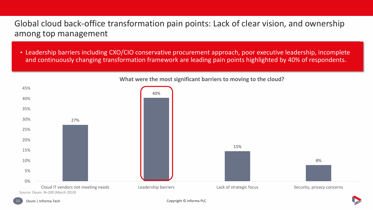Global cloud back-office transformation pain points: Lack of clear vision, and ownership among top management

• Leadership barriers including CXO/CIO conservative procurement approach, poor executive leadership, incomplete and continuously changing transformation framework are leading pain points highlighted by 40% of respondents.



**What were the most significant barriers to moving to the cloud?**

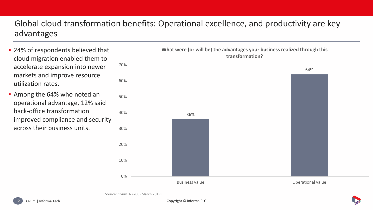# Global cloud transformation benefits: Operational excellence, and productivity are key advantages

- 24% of respondents believed that cloud migration enabled them to accelerate expansion into newer markets and improve resource utilization rates.
- Among the 64% who noted an operational advantage, 12% said back-office transformation improved compliance and security across their business units.



**What were (or will be) the advantages your business realized through this**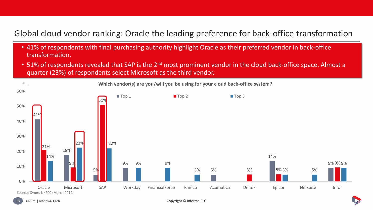## Global cloud vendor ranking: Oracle the leading preference for back-office transformation

- 41% of respondents with final purchasing authority highlight Oracle as their preferred vendor in back-office transformation.
- 51% of respondents revealed that SAP is the 2<sup>nd</sup> most prominent vendor in the cloud back-office space. Almost a quarter (23%) of respondents select Microsoft as the third vendor.





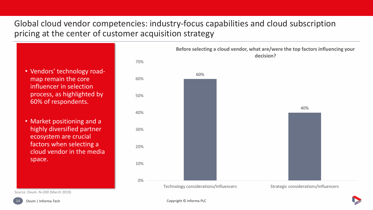# Global cloud vendor competencies: industry-focus capabilities and cloud subscription pricing at the center of customer acquisition strategy

• Vendors' technology roadmap remain the core influencer in selection process, as highlighted by 60% of respondents.

• Market positioning and a highly diversified partner ecosystem are crucial factors when selecting a cloud vendor in the media space.

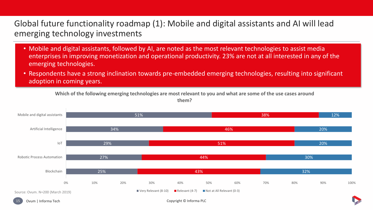#### Global future functionality roadmap (1): Mobile and digital assistants and AI will lead emerging technology investments

- Mobile and digital assistants, followed by AI, are noted as the most relevant technologies to assist media enterprises in improving monetization and operational productivity. 23% are not at all interested in any of the emerging technologies.
- Respondents have a strong inclination towards pre-embedded emerging technologies, resulting into significant adoption in coming years.

**Which of the following emerging technologies are most relevant to you and what are some of the use cases around them?**



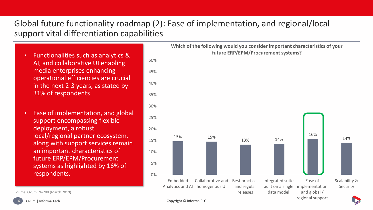# Global future functionality roadmap (2): Ease of implementation, and regional/local support vital differentiation capabilities

- Functionalities such as analytics & AI, and collaborative UI enabling media enterprises enhancing operational efficiencies are crucial in the next 2-3 years, as stated by 31% of respondents
- Ease of implementation, and global support encompassing flexible deployment, a robust local/regional partner ecosystem, along with support services remain an important characteristics of future ERP/EPM/Procurement systems as highlighted by 16% of respondents.



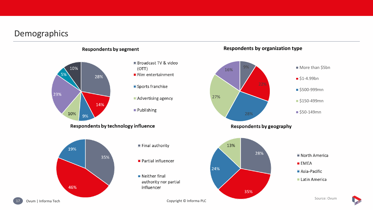#### Demographics



**Respondents by organization type**

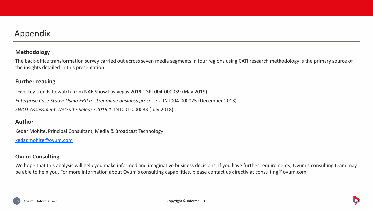#### Appendix

#### **Methodology**

The back-office transformation survey carried out across seven media segments in four regions using CATI research methodology is the primary source of the insights detailed in this presentation.

#### **Further reading**

"Five key trends to watch from NAB Show Las Vegas 2019," SPT004-000039 (May 2019) *Enterprise Case Study: Using ERP to streamline business processes*, INT004-000025 (December 2018) *SWOT Assessment: NetSuite Release 2018.1*, INT001-000083 (July 2018)

#### **Author**

Kedar Mohite, Principal Consultant, Media & Broadcast Technology

[kedar.mohite@ovum.com](mailto:kedar.mohite@ovum.com)

#### **Ovum Consulting**

We hope that this analysis will help you make informed and imaginative business decisions. If you have further requirements, Ovum's consulting team may be able to help you. For more information about Ovum's consulting capabilities, please contact us directly at consulting@ovum.com.